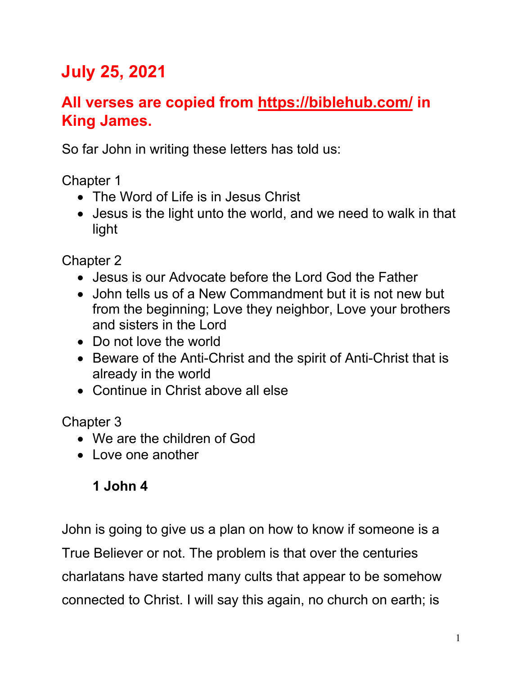# **July 25, 2021**

## **All verses are copied from https://biblehub.com/ in King James.**

So far John in writing these letters has told us:

Chapter 1

- The Word of Life is in Jesus Christ
- Jesus is the light unto the world, and we need to walk in that light

Chapter 2

- Jesus is our Advocate before the Lord God the Father
- John tells us of a New Commandment but it is not new but from the beginning; Love they neighbor, Love your brothers and sisters in the Lord
- Do not love the world
- Beware of the Anti-Christ and the spirit of Anti-Christ that is already in the world
- Continue in Christ above all else

Chapter 3

- We are the children of God
- Love one another

### **1 John 4**

John is going to give us a plan on how to know if someone is a True Believer or not. The problem is that over the centuries charlatans have started many cults that appear to be somehow connected to Christ. I will say this again, no church on earth; is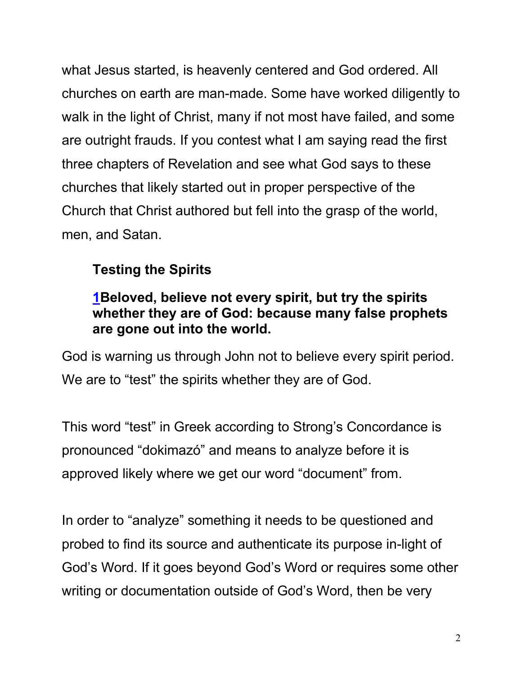what Jesus started, is heavenly centered and God ordered. All churches on earth are man-made. Some have worked diligently to walk in the light of Christ, many if not most have failed, and some are outright frauds. If you contest what I am saying read the first three chapters of Revelation and see what God says to these churches that likely started out in proper perspective of the Church that Christ authored but fell into the grasp of the world, men, and Satan.

### **Testing the Spirits**

#### **1Beloved, believe not every spirit, but try the spirits whether they are of God: because many false prophets are gone out into the world.**

God is warning us through John not to believe every spirit period. We are to "test" the spirits whether they are of God.

This word "test" in Greek according to Strong's Concordance is pronounced "dokimazó" and means to analyze before it is approved likely where we get our word "document" from.

In order to "analyze" something it needs to be questioned and probed to find its source and authenticate its purpose in-light of God's Word. If it goes beyond God's Word or requires some other writing or documentation outside of God's Word, then be very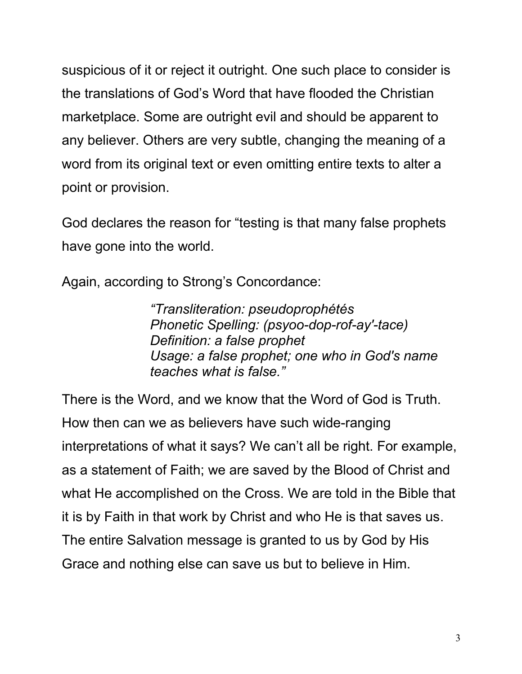suspicious of it or reject it outright. One such place to consider is the translations of God's Word that have flooded the Christian marketplace. Some are outright evil and should be apparent to any believer. Others are very subtle, changing the meaning of a word from its original text or even omitting entire texts to alter a point or provision.

God declares the reason for "testing is that many false prophets have gone into the world.

Again, according to Strong's Concordance:

*"Transliteration: pseudoprophétés Phonetic Spelling: (psyoo-dop-rof-ay'-tace) Definition: a false prophet Usage: a false prophet; one who in God's name teaches what is false."*

There is the Word, and we know that the Word of God is Truth. How then can we as believers have such wide-ranging interpretations of what it says? We can't all be right. For example, as a statement of Faith; we are saved by the Blood of Christ and what He accomplished on the Cross. We are told in the Bible that it is by Faith in that work by Christ and who He is that saves us. The entire Salvation message is granted to us by God by His Grace and nothing else can save us but to believe in Him.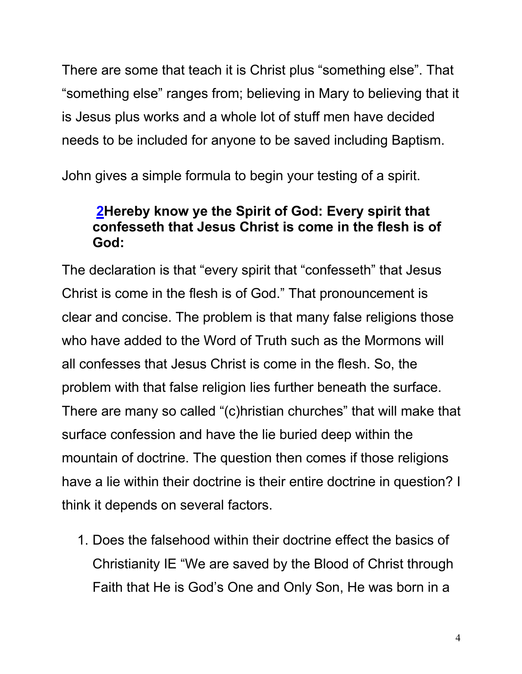There are some that teach it is Christ plus "something else". That "something else" ranges from; believing in Mary to believing that it is Jesus plus works and a whole lot of stuff men have decided needs to be included for anyone to be saved including Baptism.

John gives a simple formula to begin your testing of a spirit.

#### **2Hereby know ye the Spirit of God: Every spirit that confesseth that Jesus Christ is come in the flesh is of God:**

The declaration is that "every spirit that "confesseth" that Jesus Christ is come in the flesh is of God." That pronouncement is clear and concise. The problem is that many false religions those who have added to the Word of Truth such as the Mormons will all confesses that Jesus Christ is come in the flesh. So, the problem with that false religion lies further beneath the surface. There are many so called "(c)hristian churches" that will make that surface confession and have the lie buried deep within the mountain of doctrine. The question then comes if those religions have a lie within their doctrine is their entire doctrine in question? I think it depends on several factors.

1. Does the falsehood within their doctrine effect the basics of Christianity IE "We are saved by the Blood of Christ through Faith that He is God's One and Only Son, He was born in a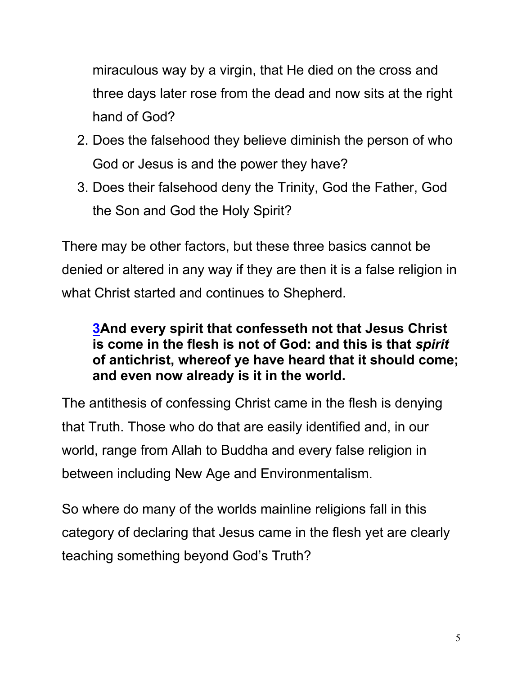miraculous way by a virgin, that He died on the cross and three days later rose from the dead and now sits at the right hand of God?

- 2. Does the falsehood they believe diminish the person of who God or Jesus is and the power they have?
- 3. Does their falsehood deny the Trinity, God the Father, God the Son and God the Holy Spirit?

There may be other factors, but these three basics cannot be denied or altered in any way if they are then it is a false religion in what Christ started and continues to Shepherd.

#### **3And every spirit that confesseth not that Jesus Christ is come in the flesh is not of God: and this is that** *spirit* **of antichrist, whereof ye have heard that it should come; and even now already is it in the world.**

The antithesis of confessing Christ came in the flesh is denying that Truth. Those who do that are easily identified and, in our world, range from Allah to Buddha and every false religion in between including New Age and Environmentalism.

So where do many of the worlds mainline religions fall in this category of declaring that Jesus came in the flesh yet are clearly teaching something beyond God's Truth?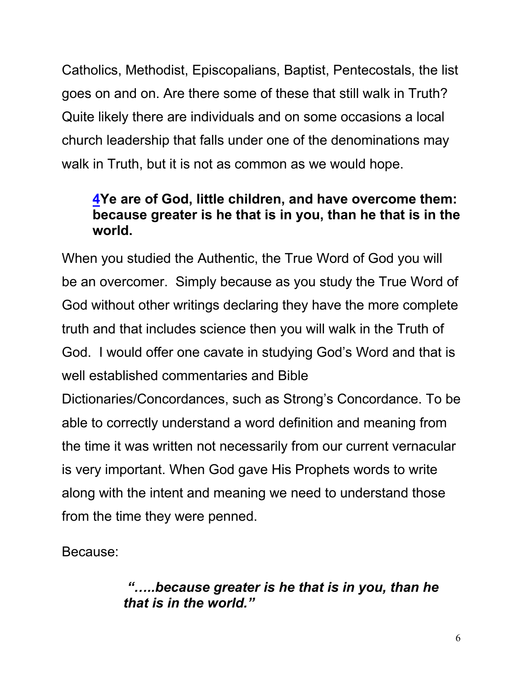Catholics, Methodist, Episcopalians, Baptist, Pentecostals, the list goes on and on. Are there some of these that still walk in Truth? Quite likely there are individuals and on some occasions a local church leadership that falls under one of the denominations may walk in Truth, but it is not as common as we would hope.

#### **4Ye are of God, little children, and have overcome them: because greater is he that is in you, than he that is in the world.**

When you studied the Authentic, the True Word of God you will be an overcomer. Simply because as you study the True Word of God without other writings declaring they have the more complete truth and that includes science then you will walk in the Truth of God. I would offer one cavate in studying God's Word and that is well established commentaries and Bible

Dictionaries/Concordances, such as Strong's Concordance. To be able to correctly understand a word definition and meaning from the time it was written not necessarily from our current vernacular is very important. When God gave His Prophets words to write along with the intent and meaning we need to understand those from the time they were penned.

Because:

#### *"…..because greater is he that is in you, than he that is in the world."*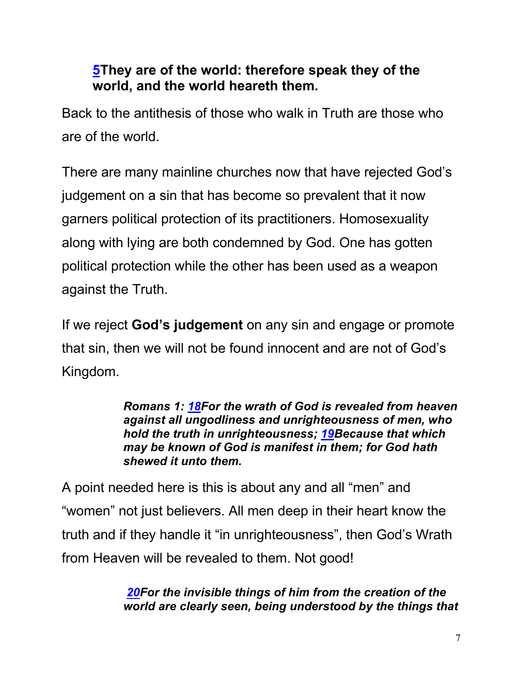#### **5They are of the world: therefore speak they of the world, and the world heareth them.**

Back to the antithesis of those who walk in Truth are those who are of the world.

There are many mainline churches now that have rejected God's judgement on a sin that has become so prevalent that it now garners political protection of its practitioners. Homosexuality along with lying are both condemned by God. One has gotten political protection while the other has been used as a weapon against the Truth.

If we reject **God's judgement** on any sin and engage or promote that sin, then we will not be found innocent and are not of God's Kingdom.

> *Romans 1: 18For the wrath of God is revealed from heaven against all ungodliness and unrighteousness of men, who hold the truth in unrighteousness; 19Because that which may be known of God is manifest in them; for God hath shewed it unto them.*

A point needed here is this is about any and all "men" and "women" not just believers. All men deep in their heart know the truth and if they handle it "in unrighteousness", then God's Wrath from Heaven will be revealed to them. Not good!

> *20For the invisible things of him from the creation of the world are clearly seen, being understood by the things that*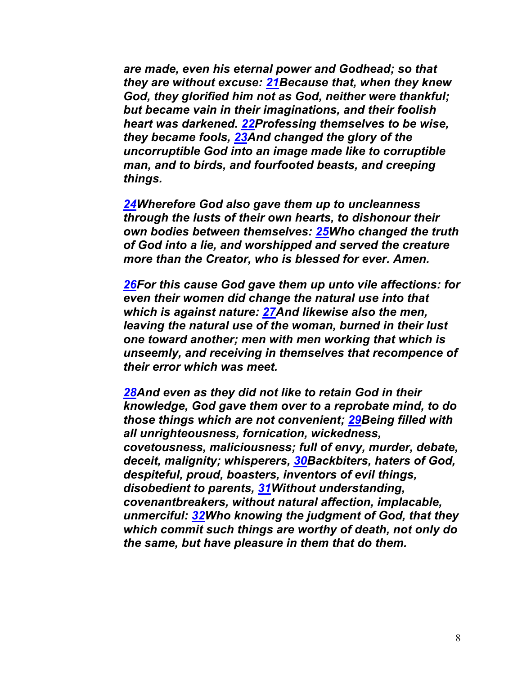*are made, even his eternal power and Godhead; so that they are without excuse: 21Because that, when they knew God, they glorified him not as God, neither were thankful; but became vain in their imaginations, and their foolish heart was darkened. 22Professing themselves to be wise, they became fools, 23And changed the glory of the uncorruptible God into an image made like to corruptible man, and to birds, and fourfooted beasts, and creeping things.*

*24Wherefore God also gave them up to uncleanness through the lusts of their own hearts, to dishonour their own bodies between themselves: 25Who changed the truth of God into a lie, and worshipped and served the creature more than the Creator, who is blessed for ever. Amen.*

*26For this cause God gave them up unto vile affections: for even their women did change the natural use into that which is against nature: 27And likewise also the men, leaving the natural use of the woman, burned in their lust one toward another; men with men working that which is unseemly, and receiving in themselves that recompence of their error which was meet.*

*28And even as they did not like to retain God in their knowledge, God gave them over to a reprobate mind, to do those things which are not convenient; 29Being filled with all unrighteousness, fornication, wickedness, covetousness, maliciousness; full of envy, murder, debate, deceit, malignity; whisperers, 30Backbiters, haters of God, despiteful, proud, boasters, inventors of evil things, disobedient to parents, 31Without understanding, covenantbreakers, without natural affection, implacable, unmerciful: 32Who knowing the judgment of God, that they which commit such things are worthy of death, not only do the same, but have pleasure in them that do them.*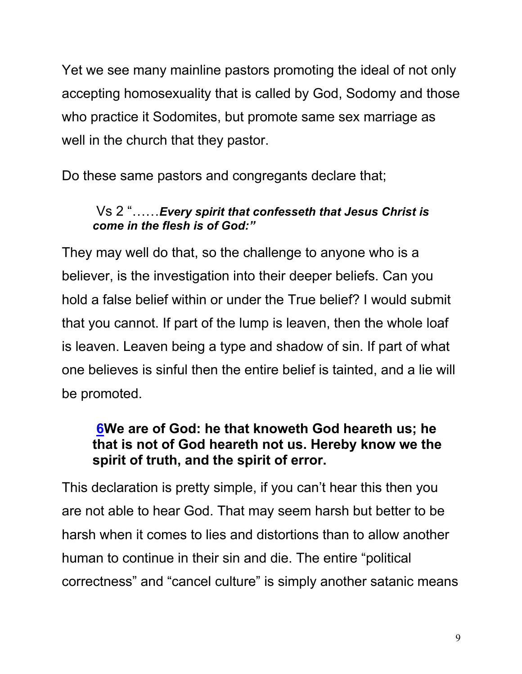Yet we see many mainline pastors promoting the ideal of not only accepting homosexuality that is called by God, Sodomy and those who practice it Sodomites, but promote same sex marriage as well in the church that they pastor.

Do these same pastors and congregants declare that;

#### Vs 2 "……*Every spirit that confesseth that Jesus Christ is come in the flesh is of God:"*

They may well do that, so the challenge to anyone who is a believer, is the investigation into their deeper beliefs. Can you hold a false belief within or under the True belief? I would submit that you cannot. If part of the lump is leaven, then the whole loaf is leaven. Leaven being a type and shadow of sin. If part of what one believes is sinful then the entire belief is tainted, and a lie will be promoted.

#### **6We are of God: he that knoweth God heareth us; he that is not of God heareth not us. Hereby know we the spirit of truth, and the spirit of error.**

This declaration is pretty simple, if you can't hear this then you are not able to hear God. That may seem harsh but better to be harsh when it comes to lies and distortions than to allow another human to continue in their sin and die. The entire "political correctness" and "cancel culture" is simply another satanic means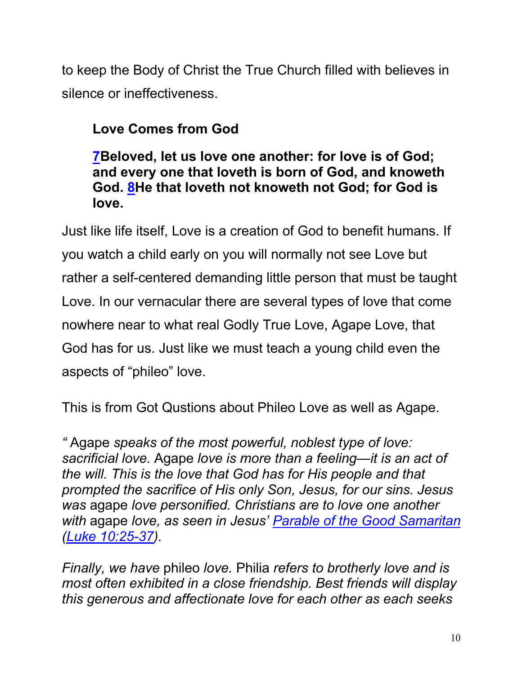to keep the Body of Christ the True Church filled with believes in silence or ineffectiveness.

### **Love Comes from God**

**7Beloved, let us love one another: for love is of God; and every one that loveth is born of God, and knoweth God. 8He that loveth not knoweth not God; for God is love.**

Just like life itself, Love is a creation of God to benefit humans. If you watch a child early on you will normally not see Love but rather a self-centered demanding little person that must be taught Love. In our vernacular there are several types of love that come nowhere near to what real Godly True Love, Agape Love, that God has for us. Just like we must teach a young child even the aspects of "phileo" love.

This is from Got Qustions about Phileo Love as well as Agape.

*"* Agape *speaks of the most powerful, noblest type of love: sacrificial love.* Agape *love is more than a feeling—it is an act of the will. This is the love that God has for His people and that prompted the sacrifice of His only Son, Jesus, for our sins. Jesus was* agape *love personified. Christians are to love one another with* agape *love, as seen in Jesus' Parable of the Good Samaritan (Luke 10:25-37).*

*Finally, we have* phileo *love.* Philia *refers to brotherly love and is most often exhibited in a close friendship. Best friends will display this generous and affectionate love for each other as each seeks*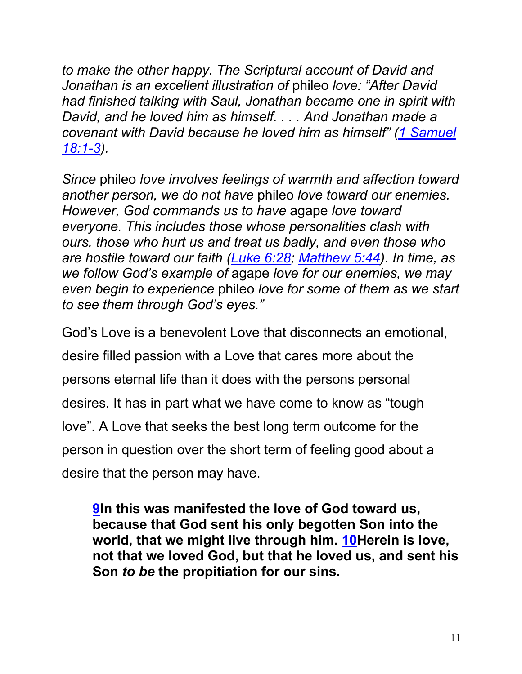*to make the other happy. The Scriptural account of David and Jonathan is an excellent illustration of* phileo *love: "After David had finished talking with Saul, Jonathan became one in spirit with David, and he loved him as himself. . . . And Jonathan made a covenant with David because he loved him as himself" (1 Samuel 18:1-3).*

*Since* phileo *love involves feelings of warmth and affection toward another person, we do not have* phileo *love toward our enemies. However, God commands us to have* agape *love toward everyone. This includes those whose personalities clash with ours, those who hurt us and treat us badly, and even those who are hostile toward our faith (Luke 6:28; Matthew 5:44). In time, as we follow God's example of* agape *love for our enemies, we may even begin to experience* phileo *love for some of them as we start to see them through God's eyes."*

God's Love is a benevolent Love that disconnects an emotional, desire filled passion with a Love that cares more about the persons eternal life than it does with the persons personal desires. It has in part what we have come to know as "tough love". A Love that seeks the best long term outcome for the person in question over the short term of feeling good about a desire that the person may have.

**9In this was manifested the love of God toward us, because that God sent his only begotten Son into the world, that we might live through him. 10Herein is love, not that we loved God, but that he loved us, and sent his Son** *to be* **the propitiation for our sins.**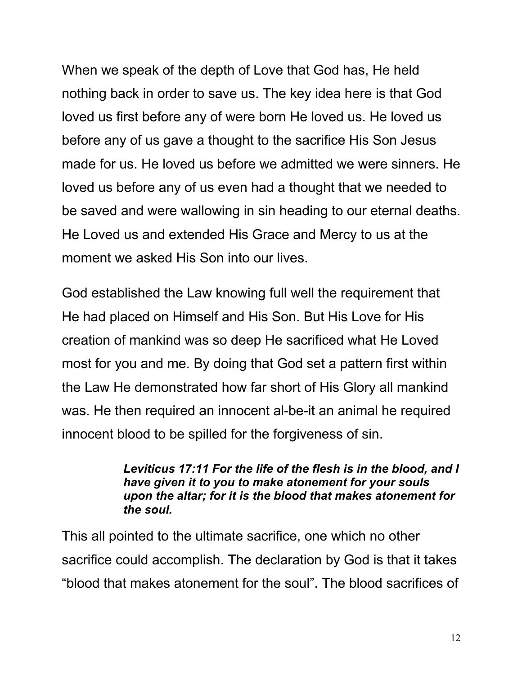When we speak of the depth of Love that God has, He held nothing back in order to save us. The key idea here is that God loved us first before any of were born He loved us. He loved us before any of us gave a thought to the sacrifice His Son Jesus made for us. He loved us before we admitted we were sinners. He loved us before any of us even had a thought that we needed to be saved and were wallowing in sin heading to our eternal deaths. He Loved us and extended His Grace and Mercy to us at the moment we asked His Son into our lives.

God established the Law knowing full well the requirement that He had placed on Himself and His Son. But His Love for His creation of mankind was so deep He sacrificed what He Loved most for you and me. By doing that God set a pattern first within the Law He demonstrated how far short of His Glory all mankind was. He then required an innocent al-be-it an animal he required innocent blood to be spilled for the forgiveness of sin.

#### *Leviticus 17:11 For the life of the flesh is in the blood, and I have given it to you to make atonement for your souls upon the altar; for it is the blood that makes atonement for the soul.*

This all pointed to the ultimate sacrifice, one which no other sacrifice could accomplish. The declaration by God is that it takes "blood that makes atonement for the soul". The blood sacrifices of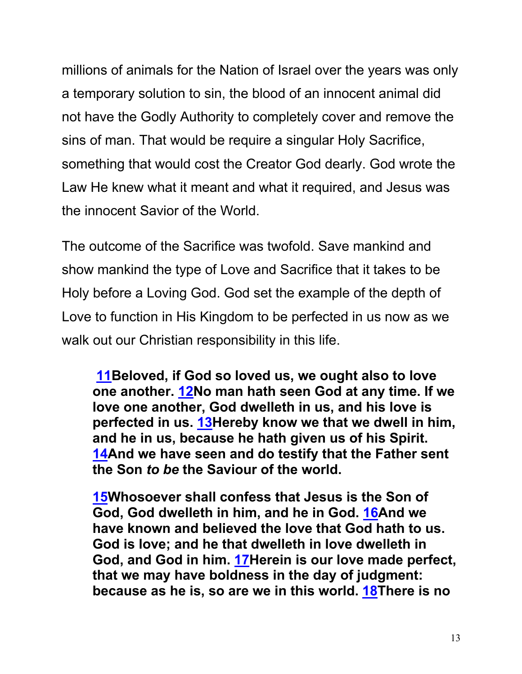millions of animals for the Nation of Israel over the years was only a temporary solution to sin, the blood of an innocent animal did not have the Godly Authority to completely cover and remove the sins of man. That would be require a singular Holy Sacrifice, something that would cost the Creator God dearly. God wrote the Law He knew what it meant and what it required, and Jesus was the innocent Savior of the World.

The outcome of the Sacrifice was twofold. Save mankind and show mankind the type of Love and Sacrifice that it takes to be Holy before a Loving God. God set the example of the depth of Love to function in His Kingdom to be perfected in us now as we walk out our Christian responsibility in this life.

**11Beloved, if God so loved us, we ought also to love one another. 12No man hath seen God at any time. If we love one another, God dwelleth in us, and his love is perfected in us. 13Hereby know we that we dwell in him, and he in us, because he hath given us of his Spirit. 14And we have seen and do testify that the Father sent the Son** *to be* **the Saviour of the world.**

**15Whosoever shall confess that Jesus is the Son of God, God dwelleth in him, and he in God. 16And we have known and believed the love that God hath to us. God is love; and he that dwelleth in love dwelleth in God, and God in him. 17Herein is our love made perfect, that we may have boldness in the day of judgment: because as he is, so are we in this world. 18There is no**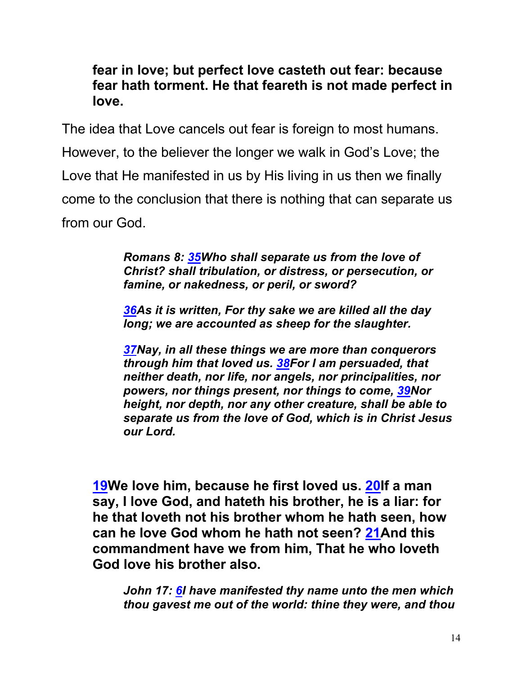#### **fear in love; but perfect love casteth out fear: because fear hath torment. He that feareth is not made perfect in love.**

The idea that Love cancels out fear is foreign to most humans. However, to the believer the longer we walk in God's Love; the Love that He manifested in us by His living in us then we finally come to the conclusion that there is nothing that can separate us from our God.

> *Romans 8: 35Who shall separate us from the love of Christ? shall tribulation, or distress, or persecution, or famine, or nakedness, or peril, or sword?*

> *36As it is written, For thy sake we are killed all the day long; we are accounted as sheep for the slaughter.*

*37Nay, in all these things we are more than conquerors through him that loved us. 38For I am persuaded, that neither death, nor life, nor angels, nor principalities, nor powers, nor things present, nor things to come, 39Nor height, nor depth, nor any other creature, shall be able to separate us from the love of God, which is in Christ Jesus our Lord.*

**19We love him, because he first loved us. 20If a man say, I love God, and hateth his brother, he is a liar: for he that loveth not his brother whom he hath seen, how can he love God whom he hath not seen? 21And this commandment have we from him, That he who loveth God love his brother also.**

*John 17: 6I have manifested thy name unto the men which thou gavest me out of the world: thine they were, and thou*